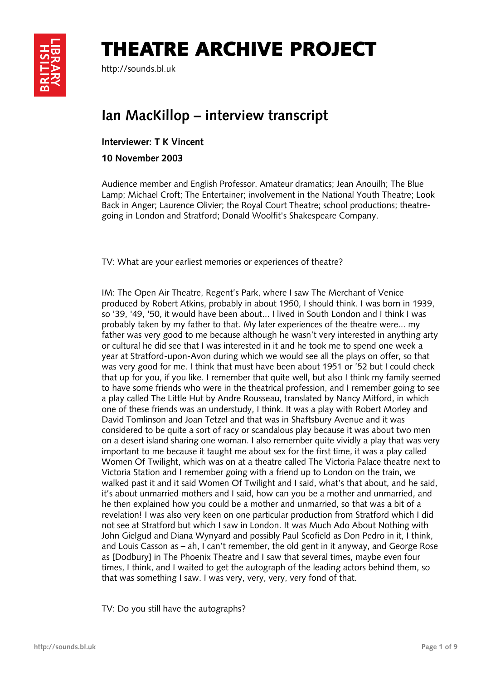## THEATRE ARCHIVE PROJECT



http://sounds.bl.uk

## **Ian MacKillop – interview transcript**

**Interviewer: T K Vincent** 

**10 November 2003** 

Audience member and English Professor. Amateur dramatics; Jean Anouilh; The Blue Lamp; Michael Croft; The Entertainer; involvement in the National Youth Theatre; Look Back in Anger; Laurence Olivier; the Royal Court Theatre; school productions; theatregoing in London and Stratford; Donald Woolfit's Shakespeare Company.

TV: What are your earliest memories or experiences of theatre?

IM: The Open Air Theatre, Regent's Park, where I saw The Merchant of Venice produced by Robert Atkins, probably in about 1950, I should think. I was born in 1939, so '39, '49, '50, it would have been about... I lived in South London and I think I was probably taken by my father to that. My later experiences of the theatre were... my father was very good to me because although he wasn't very interested in anything arty or cultural he did see that I was interested in it and he took me to spend one week a year at Stratford-upon-Avon during which we would see all the plays on offer, so that was very good for me. I think that must have been about 1951 or '52 but I could check that up for you, if you like. I remember that quite well, but also I think my family seemed to have some friends who were in the theatrical profession, and I remember going to see a play called The Little Hut by Andre Rousseau, translated by Nancy Mitford, in which one of these friends was an understudy, I think. It was a play with Robert Morley and David Tomlinson and Joan Tetzel and that was in Shaftsbury Avenue and it was considered to be quite a sort of racy or scandalous play because it was about two men on a desert island sharing one woman. I also remember quite vividly a play that was very important to me because it taught me about sex for the first time, it was a play called Women Of Twilight, which was on at a theatre called The Victoria Palace theatre next to Victoria Station and I remember going with a friend up to London on the train, we walked past it and it said Women Of Twilight and I said, what's that about, and he said, it's about unmarried mothers and I said, how can you be a mother and unmarried, and he then explained how you could be a mother and unmarried, so that was a bit of a revelation! I was also very keen on one particular production from Stratford which I did not see at Stratford but which I saw in London. It was Much Ado About Nothing with John Gielgud and Diana Wynyard and possibly Paul Scofield as Don Pedro in it, I think, and Louis Casson as – ah, I can't remember, the old gent in it anyway, and George Rose as [Dodbury] in The Phoenix Theatre and I saw that several times, maybe even four times, I think, and I waited to get the autograph of the leading actors behind them, so that was something I saw. I was very, very, very, very fond of that.

TV: Do you still have the autographs?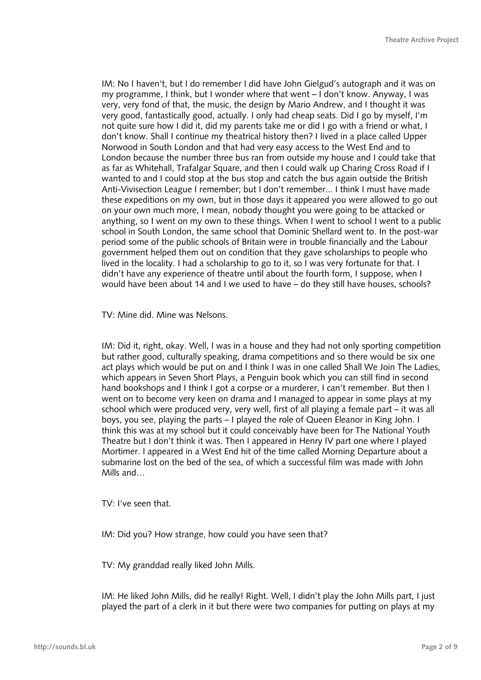IM: No I haven't, but I do remember I did have John Gielgud's autograph and it was on my programme, I think, but I wonder where that went – I don't know. Anyway, I was very, very fond of that, the music, the design by Mario Andrew, and I thought it was very good, fantastically good, actually. I only had cheap seats. Did I go by myself, I'm not quite sure how I did it, did my parents take me or did I go with a friend or what, I don't know. Shall I continue my theatrical history then? I lived in a place called Upper Norwood in South London and that had very easy access to the West End and to London because the number three bus ran from outside my house and I could take that as far as Whitehall, Trafalgar Square, and then I could walk up Charing Cross Road if I wanted to and I could stop at the bus stop and catch the bus again outside the British Anti-Vivisection League I remember; but I don't remember... I think I must have made these expeditions on my own, but in those days it appeared you were allowed to go out on your own much more, I mean, nobody thought you were going to be attacked or anything, so I went on my own to these things. When I went to school I went to a public school in South London, the same school that Dominic Shellard went to. In the post-war period some of the public schools of Britain were in trouble financially and the Labour government helped them out on condition that they gave scholarships to people who lived in the locality. I had a scholarship to go to it, so I was very fortunate for that. I didn't have any experience of theatre until about the fourth form, I suppose, when I would have been about 14 and I we used to have – do they still have houses, schools?

TV: Mine did. Mine was Nelsons.

IM: Did it, right, okay. Well, I was in a house and they had not only sporting competition but rather good, culturally speaking, drama competitions and so there would be six one act plays which would be put on and I think I was in one called Shall We Join The Ladies, which appears in Seven Short Plays, a Penguin book which you can still find in second hand bookshops and I think I got a corpse or a murderer, I can't remember. But then I went on to become very keen on drama and I managed to appear in some plays at my school which were produced very, very well, first of all playing a female part – it was all boys, you see, playing the parts – I played the role of Queen Eleanor in King John. I think this was at my school but it could conceivably have been for The National Youth Theatre but I don't think it was. Then I appeared in Henry IV part one where I played Mortimer. I appeared in a West End hit of the time called Morning Departure about a submarine lost on the bed of the sea, of which a successful film was made with John Mills and…

TV: I've seen that.

IM: Did you? How strange, how could you have seen that?

TV: My granddad really liked John Mills.

IM: He liked John Mills, did he really! Right. Well, I didn't play the John Mills part, I just played the part of a clerk in it but there were two companies for putting on plays at my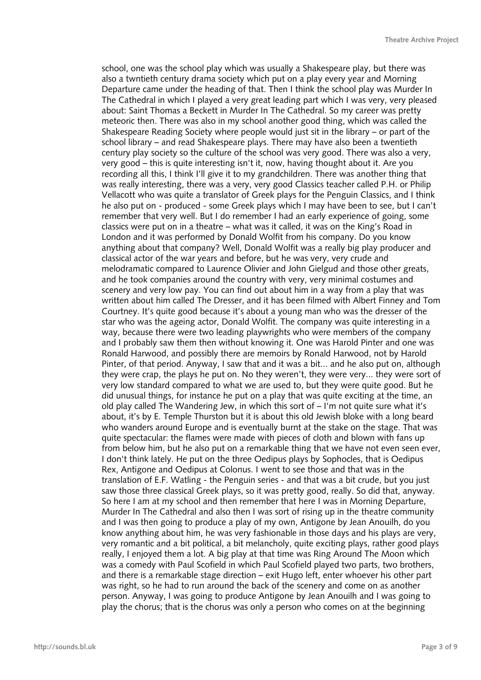school, one was the school play which was usually a Shakespeare play, but there was also a twntieth century drama society which put on a play every year and Morning Departure came under the heading of that. Then I think the school play was Murder In The Cathedral in which I played a very great leading part which I was very, very pleased about: Saint Thomas a Beckett in Murder In The Cathedral. So my career was pretty meteoric then. There was also in my school another good thing, which was called the Shakespeare Reading Society where people would just sit in the library – or part of the school library – and read Shakespeare plays. There may have also been a twentieth century play society so the culture of the school was very good. There was also a very, very good – this is quite interesting isn't it, now, having thought about it. Are you recording all this, I think I'll give it to my grandchildren. There was another thing that was really interesting, there was a very, very good Classics teacher called P.H. or Philip Vellacott who was quite a translator of Greek plays for the Penguin Classics, and I think he also put on - produced - some Greek plays which I may have been to see, but I can't remember that very well. But I do remember I had an early experience of going, some classics were put on in a theatre – what was it called, it was on the King's Road in London and it was performed by Donald Wolfit from his company. Do you know anything about that company? Well, Donald Wolfit was a really big play producer and classical actor of the war years and before, but he was very, very crude and melodramatic compared to Laurence Olivier and John Gielgud and those other greats, and he took companies around the country with very, very minimal costumes and scenery and very low pay. You can find out about him in a way from a play that was written about him called The Dresser, and it has been filmed with Albert Finney and Tom Courtney. It's quite good because it's about a young man who was the dresser of the star who was the ageing actor, Donald Wolfit. The company was quite interesting in a way, because there were two leading playwrights who were members of the company and I probably saw them then without knowing it. One was Harold Pinter and one was Ronald Harwood, and possibly there are memoirs by Ronald Harwood, not by Harold Pinter, of that period. Anyway, I saw that and it was a bit... and he also put on, although they were crap, the plays he put on. No they weren't, they were very... they were sort of very low standard compared to what we are used to, but they were quite good. But he did unusual things, for instance he put on a play that was quite exciting at the time, an old play called The Wandering Jew, in which this sort of – I'm not quite sure what it's about, it's by E. Temple Thurston but it is about this old Jewish bloke with a long beard who wanders around Europe and is eventually burnt at the stake on the stage. That was quite spectacular: the flames were made with pieces of cloth and blown with fans up from below him, but he also put on a remarkable thing that we have not even seen ever, I don't think lately. He put on the three Oedipus plays by Sophocles, that is Oedipus Rex, Antigone and Oedipus at Colonus. I went to see those and that was in the translation of E.F. Watling - the Penguin series - and that was a bit crude, but you just saw those three classical Greek plays, so it was pretty good, really. So did that, anyway. So here I am at my school and then remember that here I was in Morning Departure, Murder In The Cathedral and also then I was sort of rising up in the theatre community and I was then going to produce a play of my own, Antigone by Jean Anouilh, do you know anything about him, he was very fashionable in those days and his plays are very, very romantic and a bit political, a bit melancholy, quite exciting plays, rather good plays really, I enjoyed them a lot. A big play at that time was Ring Around The Moon which was a comedy with Paul Scofield in which Paul Scofield played two parts, two brothers, and there is a remarkable stage direction – exit Hugo left, enter whoever his other part was right, so he had to run around the back of the scenery and come on as another person. Anyway, I was going to produce Antigone by Jean Anouilh and I was going to play the chorus; that is the chorus was only a person who comes on at the beginning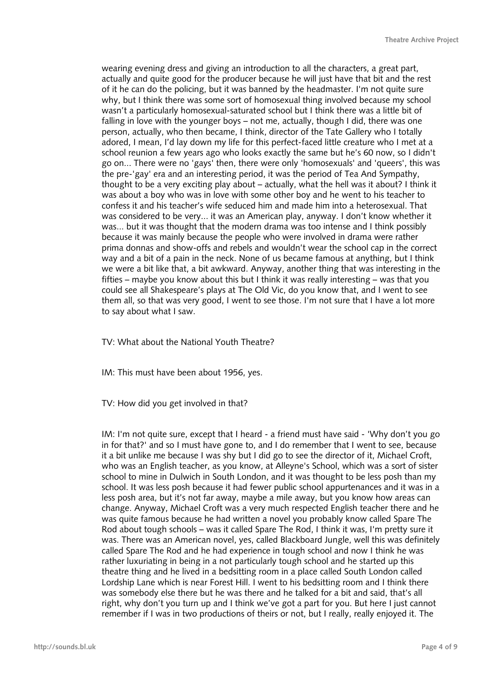wearing evening dress and giving an introduction to all the characters, a great part, actually and quite good for the producer because he will just have that bit and the rest of it he can do the policing, but it was banned by the headmaster. I'm not quite sure why, but I think there was some sort of homosexual thing involved because my school wasn't a particularly homosexual-saturated school but I think there was a little bit of falling in love with the younger boys – not me, actually, though I did, there was one person, actually, who then became, I think, director of the Tate Gallery who I totally adored, I mean, I'd lay down my life for this perfect-faced little creature who I met at a school reunion a few years ago who looks exactly the same but he's 60 now, so I didn't go on... There were no 'gays' then, there were only 'homosexuals' and 'queers', this was the pre-'gay' era and an interesting period, it was the period of Tea And Sympathy, thought to be a very exciting play about – actually, what the hell was it about? I think it was about a boy who was in love with some other boy and he went to his teacher to confess it and his teacher's wife seduced him and made him into a heterosexual. That was considered to be very... it was an American play, anyway. I don't know whether it was... but it was thought that the modern drama was too intense and I think possibly because it was mainly because the people who were involved in drama were rather prima donnas and show-offs and rebels and wouldn't wear the school cap in the correct way and a bit of a pain in the neck. None of us became famous at anything, but I think we were a bit like that, a bit awkward. Anyway, another thing that was interesting in the fifties – maybe you know about this but I think it was really interesting – was that you could see all Shakespeare's plays at The Old Vic, do you know that, and I went to see them all, so that was very good, I went to see those. I'm not sure that I have a lot more to say about what I saw.

TV: What about the National Youth Theatre?

IM: This must have been about 1956, yes.

TV: How did you get involved in that?

IM: I'm not quite sure, except that I heard - a friend must have said - 'Why don't you go in for that?' and so I must have gone to, and I do remember that I went to see, because it a bit unlike me because I was shy but I did go to see the director of it, Michael Croft, who was an English teacher, as you know, at Alleyne's School, which was a sort of sister school to mine in Dulwich in South London, and it was thought to be less posh than my school. It was less posh because it had fewer public school appurtenances and it was in a less posh area, but it's not far away, maybe a mile away, but you know how areas can change. Anyway, Michael Croft was a very much respected English teacher there and he was quite famous because he had written a novel you probably know called Spare The Rod about tough schools – was it called Spare The Rod, I think it was, I'm pretty sure it was. There was an American novel, yes, called Blackboard Jungle, well this was definitely called Spare The Rod and he had experience in tough school and now I think he was rather luxuriating in being in a not particularly tough school and he started up this theatre thing and he lived in a bedsitting room in a place called South London called Lordship Lane which is near Forest Hill. I went to his bedsitting room and I think there was somebody else there but he was there and he talked for a bit and said, that's all right, why don't you turn up and I think we've got a part for you. But here I just cannot remember if I was in two productions of theirs or not, but I really, really enjoyed it. The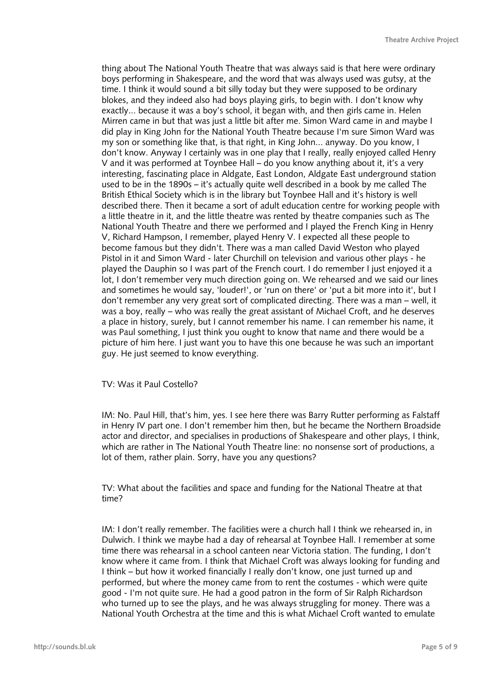thing about The National Youth Theatre that was always said is that here were ordinary boys performing in Shakespeare, and the word that was always used was gutsy, at the time. I think it would sound a bit silly today but they were supposed to be ordinary blokes, and they indeed also had boys playing girls, to begin with. I don't know why exactly... because it was a boy's school, it began with, and then girls came in. Helen Mirren came in but that was just a little bit after me. Simon Ward came in and maybe I did play in King John for the National Youth Theatre because I'm sure Simon Ward was my son or something like that, is that right, in King John... anyway. Do you know, I don't know. Anyway I certainly was in one play that I really, really enjoyed called Henry V and it was performed at Toynbee Hall – do you know anything about it, it's a very interesting, fascinating place in Aldgate, East London, Aldgate East underground station used to be in the 1890s – it's actually quite well described in a book by me called The British Ethical Society which is in the library but Toynbee Hall and it's history is well described there. Then it became a sort of adult education centre for working people with a little theatre in it, and the little theatre was rented by theatre companies such as The National Youth Theatre and there we performed and I played the French King in Henry V, Richard Hampson, I remember, played Henry V. I expected all these people to become famous but they didn't. There was a man called David Weston who played Pistol in it and Simon Ward - later Churchill on television and various other plays - he played the Dauphin so I was part of the French court. I do remember I just enjoyed it a lot, I don't remember very much direction going on. We rehearsed and we said our lines and sometimes he would say, 'louder!', or 'run on there' or 'put a bit more into it', but I don't remember any very great sort of complicated directing. There was a man – well, it was a boy, really – who was really the great assistant of Michael Croft, and he deserves a place in history, surely, but I cannot remember his name. I can remember his name, it was Paul something, I just think you ought to know that name and there would be a picture of him here. I just want you to have this one because he was such an important guy. He just seemed to know everything.

## TV: Was it Paul Costello?

IM: No. Paul Hill, that's him, yes. I see here there was Barry Rutter performing as Falstaff in Henry IV part one. I don't remember him then, but he became the Northern Broadside actor and director, and specialises in productions of Shakespeare and other plays, I think, which are rather in The National Youth Theatre line: no nonsense sort of productions, a lot of them, rather plain. Sorry, have you any questions?

TV: What about the facilities and space and funding for the National Theatre at that time?

IM: I don't really remember. The facilities were a church hall I think we rehearsed in, in Dulwich. I think we maybe had a day of rehearsal at Toynbee Hall. I remember at some time there was rehearsal in a school canteen near Victoria station. The funding, I don't know where it came from. I think that Michael Croft was always looking for funding and I think – but how it worked financially I really don't know, one just turned up and performed, but where the money came from to rent the costumes - which were quite good - I'm not quite sure. He had a good patron in the form of Sir Ralph Richardson who turned up to see the plays, and he was always struggling for money. There was a National Youth Orchestra at the time and this is what Michael Croft wanted to emulate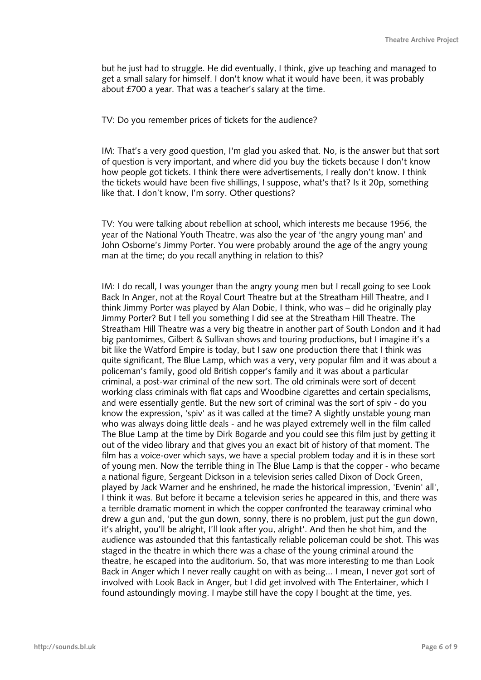but he just had to struggle. He did eventually, I think, give up teaching and managed to get a small salary for himself. I don't know what it would have been, it was probably about £700 a year. That was a teacher's salary at the time.

TV: Do you remember prices of tickets for the audience?

IM: That's a very good question, I'm glad you asked that. No, is the answer but that sort of question is very important, and where did you buy the tickets because I don't know how people got tickets. I think there were advertisements, I really don't know. I think the tickets would have been five shillings, I suppose, what's that? Is it 20p, something like that. I don't know, I'm sorry. Other questions?

TV: You were talking about rebellion at school, which interests me because 1956, the year of the National Youth Theatre, was also the year of 'the angry young man' and John Osborne's Jimmy Porter. You were probably around the age of the angry young man at the time; do you recall anything in relation to this?

IM: I do recall, I was younger than the angry young men but I recall going to see Look Back In Anger, not at the Royal Court Theatre but at the Streatham Hill Theatre, and I think Jimmy Porter was played by Alan Dobie, I think, who was – did he originally play Jimmy Porter? But I tell you something I did see at the Streatham Hill Theatre. The Streatham Hill Theatre was a very big theatre in another part of South London and it had big pantomimes, Gilbert & Sullivan shows and touring productions, but I imagine it's a bit like the Watford Empire is today, but I saw one production there that I think was quite significant, The Blue Lamp, which was a very, very popular film and it was about a policeman's family, good old British copper's family and it was about a particular criminal, a post-war criminal of the new sort. The old criminals were sort of decent working class criminals with flat caps and Woodbine cigarettes and certain specialisms, and were essentially gentle. But the new sort of criminal was the sort of spiv - do you know the expression, 'spiv' as it was called at the time? A slightly unstable young man who was always doing little deals - and he was played extremely well in the film called The Blue Lamp at the time by Dirk Bogarde and you could see this film just by getting it out of the video library and that gives you an exact bit of history of that moment. The film has a voice-over which says, we have a special problem today and it is in these sort of young men. Now the terrible thing in The Blue Lamp is that the copper - who became a national figure, Sergeant Dickson in a television series called Dixon of Dock Green, played by Jack Warner and he enshrined, he made the historical impression, 'Evenin' all', I think it was. But before it became a television series he appeared in this, and there was a terrible dramatic moment in which the copper confronted the tearaway criminal who drew a gun and, 'put the gun down, sonny, there is no problem, just put the gun down, it's alright, you'll be alright, I'll look after you, alright'. And then he shot him, and the audience was astounded that this fantastically reliable policeman could be shot. This was staged in the theatre in which there was a chase of the young criminal around the theatre, he escaped into the auditorium. So, that was more interesting to me than Look Back in Anger which I never really caught on with as being... I mean, I never got sort of involved with Look Back in Anger, but I did get involved with The Entertainer, which I found astoundingly moving. I maybe still have the copy I bought at the time, yes.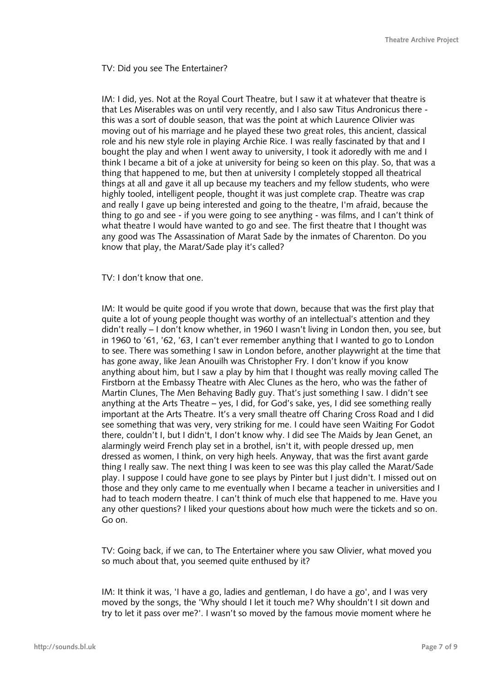TV: Did you see The Entertainer?

IM: I did, yes. Not at the Royal Court Theatre, but I saw it at whatever that theatre is that Les Miserables was on until very recently, and I also saw Titus Andronicus there this was a sort of double season, that was the point at which Laurence Olivier was moving out of his marriage and he played these two great roles, this ancient, classical role and his new style role in playing Archie Rice. I was really fascinated by that and I bought the play and when I went away to university, I took it adoredly with me and I think I became a bit of a joke at university for being so keen on this play. So, that was a thing that happened to me, but then at university I completely stopped all theatrical things at all and gave it all up because my teachers and my fellow students, who were highly tooled, intelligent people, thought it was just complete crap. Theatre was crap and really I gave up being interested and going to the theatre, I'm afraid, because the thing to go and see - if you were going to see anything - was films, and I can't think of what theatre I would have wanted to go and see. The first theatre that I thought was any good was The Assassination of Marat Sade by the inmates of Charenton. Do you know that play, the Marat/Sade play it's called?

TV: I don't know that one.

IM: It would be quite good if you wrote that down, because that was the first play that quite a lot of young people thought was worthy of an intellectual's attention and they didn't really – I don't know whether, in 1960 I wasn't living in London then, you see, but in 1960 to '61, '62, '63, I can't ever remember anything that I wanted to go to London to see. There was something I saw in London before, another playwright at the time that has gone away, like Jean Anouilh was Christopher Fry. I don't know if you know anything about him, but I saw a play by him that I thought was really moving called The Firstborn at the Embassy Theatre with Alec Clunes as the hero, who was the father of Martin Clunes, The Men Behaving Badly guy. That's just something I saw. I didn't see anything at the Arts Theatre – yes, I did, for God's sake, yes, I did see something really important at the Arts Theatre. It's a very small theatre off Charing Cross Road and I did see something that was very, very striking for me. I could have seen Waiting For Godot there, couldn't I, but I didn't, I don't know why. I did see The Maids by Jean Genet, an alarmingly weird French play set in a brothel, isn't it, with people dressed up, men dressed as women, I think, on very high heels. Anyway, that was the first avant garde thing I really saw. The next thing I was keen to see was this play called the Marat/Sade play. I suppose I could have gone to see plays by Pinter but I just didn't. I missed out on those and they only came to me eventually when I became a teacher in universities and I had to teach modern theatre. I can't think of much else that happened to me. Have you any other questions? I liked your questions about how much were the tickets and so on. Go on.

TV: Going back, if we can, to The Entertainer where you saw Olivier, what moved you so much about that, you seemed quite enthused by it?

IM: It think it was, 'I have a go, ladies and gentleman, I do have a go', and I was very moved by the songs, the 'Why should I let it touch me? Why shouldn't I sit down and try to let it pass over me?'. I wasn't so moved by the famous movie moment where he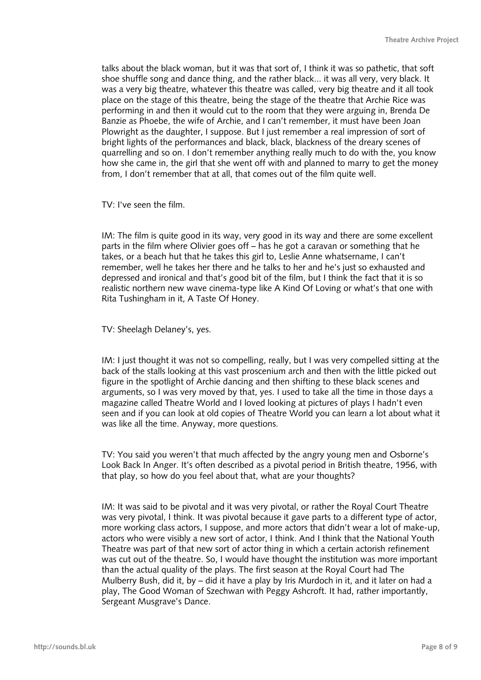talks about the black woman, but it was that sort of, I think it was so pathetic, that soft shoe shuffle song and dance thing, and the rather black... it was all very, very black. It was a very big theatre, whatever this theatre was called, very big theatre and it all took place on the stage of this theatre, being the stage of the theatre that Archie Rice was performing in and then it would cut to the room that they were arguing in, Brenda De Banzie as Phoebe, the wife of Archie, and I can't remember, it must have been Joan Plowright as the daughter, I suppose. But I just remember a real impression of sort of bright lights of the performances and black, black, blackness of the dreary scenes of quarrelling and so on. I don't remember anything really much to do with the, you know how she came in, the girl that she went off with and planned to marry to get the money from, I don't remember that at all, that comes out of the film quite well.

TV: I've seen the film.

IM: The film is quite good in its way, very good in its way and there are some excellent parts in the film where Olivier goes off – has he got a caravan or something that he takes, or a beach hut that he takes this girl to, Leslie Anne whatsername, I can't remember, well he takes her there and he talks to her and he's just so exhausted and depressed and ironical and that's good bit of the film, but I think the fact that it is so realistic northern new wave cinema-type like A Kind Of Loving or what's that one with Rita Tushingham in it, A Taste Of Honey.

TV: Sheelagh Delaney's, yes.

IM: I just thought it was not so compelling, really, but I was very compelled sitting at the back of the stalls looking at this vast proscenium arch and then with the little picked out figure in the spotlight of Archie dancing and then shifting to these black scenes and arguments, so I was very moved by that, yes. I used to take all the time in those days a magazine called Theatre World and I loved looking at pictures of plays I hadn't even seen and if you can look at old copies of Theatre World you can learn a lot about what it was like all the time. Anyway, more questions.

TV: You said you weren't that much affected by the angry young men and Osborne's Look Back In Anger. It's often described as a pivotal period in British theatre, 1956, with that play, so how do you feel about that, what are your thoughts?

IM: It was said to be pivotal and it was very pivotal, or rather the Royal Court Theatre was very pivotal, I think. It was pivotal because it gave parts to a different type of actor, more working class actors, I suppose, and more actors that didn't wear a lot of make-up, actors who were visibly a new sort of actor, I think. And I think that the National Youth Theatre was part of that new sort of actor thing in which a certain actorish refinement was cut out of the theatre. So, I would have thought the institution was more important than the actual quality of the plays. The first season at the Royal Court had The Mulberry Bush, did it, by – did it have a play by Iris Murdoch in it, and it later on had a play, The Good Woman of Szechwan with Peggy Ashcroft. It had, rather importantly, Sergeant Musgrave's Dance.